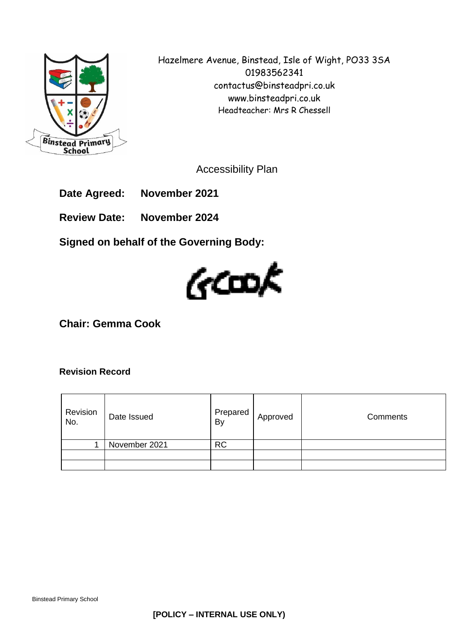

Hazelmere Avenue, Binstead, Isle of Wight, PO33 3SA 01983562341 contactus@binsteadpri.co.uk www.binsteadpri.co.uk Headteacher: Mrs R Chessell

Accessibility Plan

**Date Agreed: November 2021**

**Review Date: November 2024**

**Signed on behalf of the Governing Body:**



**Chair: Gemma Cook**

### **Revision Record**

| Revision<br>No. | Date Issued   | Prepared<br>By | Approved | Comments |
|-----------------|---------------|----------------|----------|----------|
|                 | November 2021 | <b>RC</b>      |          |          |
|                 |               |                |          |          |
|                 |               |                |          |          |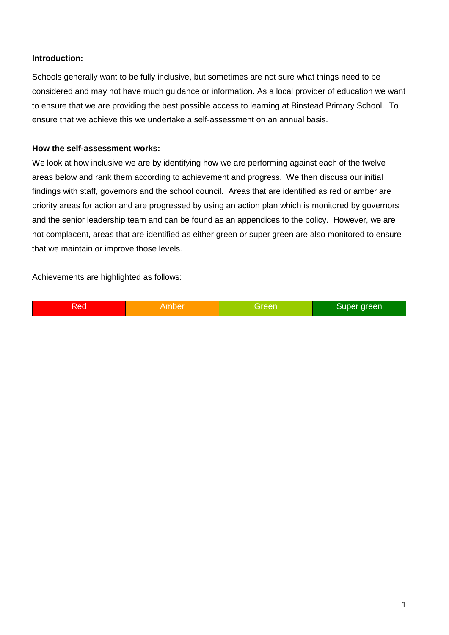### **Introduction:**

Schools generally want to be fully inclusive, but sometimes are not sure what things need to be considered and may not have much guidance or information. As a local provider of education we want to ensure that we are providing the best possible access to learning at Binstead Primary School. To ensure that we achieve this we undertake a self-assessment on an annual basis.

### **How the self-assessment works:**

We look at how inclusive we are by identifying how we are performing against each of the twelve areas below and rank them according to achievement and progress. We then discuss our initial findings with staff, governors and the school council. Areas that are identified as red or amber are priority areas for action and are progressed by using an action plan which is monitored by governors and the senior leadership team and can be found as an appendices to the policy. However, we are not complacent, areas that are identified as either green or super green are also monitored to ensure that we maintain or improve those levels.

Achievements are highlighted as follows:

| Red | Amber | Greer | Super green |
|-----|-------|-------|-------------|
|-----|-------|-------|-------------|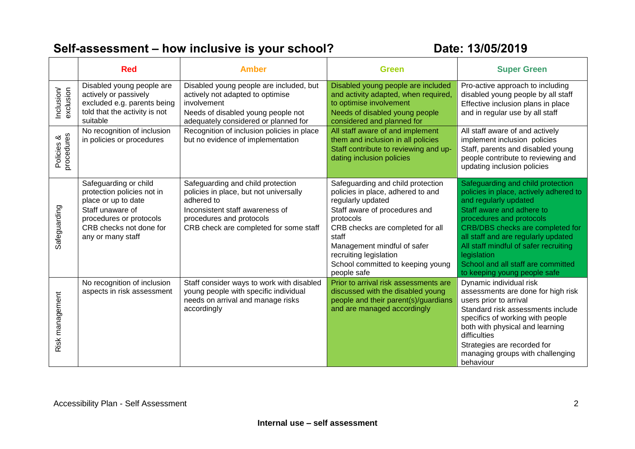## **Self-assessment – how inclusive is your school? Date: 13/05/2019**

|                          | <b>Red</b>                                                                                                                                                                | <b>Amber</b><br>Green                                                                                                                                                                                                           |                                                                                                                                                                                                                                                                                                     | <b>Super Green</b>                                                                                                                                                                                                                                                                                                                                                     |  |
|--------------------------|---------------------------------------------------------------------------------------------------------------------------------------------------------------------------|---------------------------------------------------------------------------------------------------------------------------------------------------------------------------------------------------------------------------------|-----------------------------------------------------------------------------------------------------------------------------------------------------------------------------------------------------------------------------------------------------------------------------------------------------|------------------------------------------------------------------------------------------------------------------------------------------------------------------------------------------------------------------------------------------------------------------------------------------------------------------------------------------------------------------------|--|
| Inclusion/<br>exclusion  | Disabled young people are<br>actively or passively<br>excluded e.g. parents being<br>told that the activity is not<br>suitable                                            | Disabled young people are included, but<br>actively not adapted to optimise<br>involvement<br>Needs of disabled young people not<br>adequately considered or planned for                                                        | Disabled young people are included<br>and activity adapted, when required,<br>to optimise involvement<br>Needs of disabled young people<br>considered and planned for                                                                                                                               | Pro-active approach to including<br>disabled young people by all staff<br>Effective inclusion plans in place<br>and in regular use by all staff                                                                                                                                                                                                                        |  |
| Policies &<br>procedures | No recognition of inclusion<br>in policies or procedures                                                                                                                  | Recognition of inclusion policies in place<br>All staff aware of and implement<br>but no evidence of implementation<br>them and inclusion in all policies<br>Staff contribute to reviewing and up-<br>dating inclusion policies |                                                                                                                                                                                                                                                                                                     | All staff aware of and actively<br>implement inclusion policies<br>Staff, parents and disabled young<br>people contribute to reviewing and<br>updating inclusion policies                                                                                                                                                                                              |  |
| Safeguarding             | Safeguarding or child<br>protection policies not in<br>place or up to date<br>Staff unaware of<br>procedures or protocols<br>CRB checks not done for<br>any or many staff | Safeguarding and child protection<br>policies in place, but not universally<br>adhered to<br>Inconsistent staff awareness of<br>procedures and protocols<br>CRB check are completed for some staff                              | Safeguarding and child protection<br>policies in place, adhered to and<br>regularly updated<br>Staff aware of procedures and<br>protocols<br>CRB checks are completed for all<br>staff<br>Management mindful of safer<br>recruiting legislation<br>School committed to keeping young<br>people safe | Safeguarding and child protection<br>policies in place, actively adhered to<br>and regularly updated<br>Staff aware and adhere to<br>procedures and protocols<br>CRB/DBS checks are completed for<br>all staff and are regularly updated<br>All staff mindful of safer recruiting<br>legislation<br>School and all staff are committed<br>to keeping young people safe |  |
| Risk management          | No recognition of inclusion<br>aspects in risk assessment                                                                                                                 | Staff consider ways to work with disabled<br>young people with specific individual<br>needs on arrival and manage risks<br>accordingly                                                                                          | Prior to arrival risk assessments are<br>discussed with the disabled young<br>people and their parent(s)/guardians<br>and are managed accordingly                                                                                                                                                   | Dynamic individual risk<br>assessments are done for high risk<br>users prior to arrival<br>Standard risk assessments include<br>specifics of working with people<br>both with physical and learning<br>difficulties<br>Strategies are recorded for<br>managing groups with challenging<br>behaviour                                                                    |  |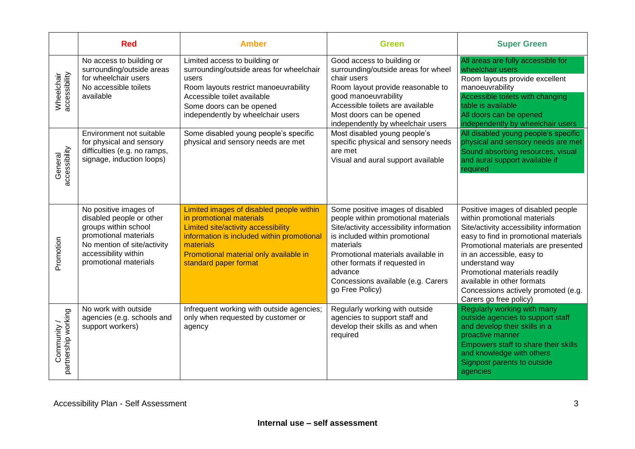|                                    | <b>Red</b><br><b>Amber</b>                                                                                                                                                         |                                                                                                                                                                                                                                           | <b>Green</b>                                                                                                                                                                                                                                                                                                 | <b>Super Green</b>                                                                                                                                                                                                                                                                                                                                                           |  |
|------------------------------------|------------------------------------------------------------------------------------------------------------------------------------------------------------------------------------|-------------------------------------------------------------------------------------------------------------------------------------------------------------------------------------------------------------------------------------------|--------------------------------------------------------------------------------------------------------------------------------------------------------------------------------------------------------------------------------------------------------------------------------------------------------------|------------------------------------------------------------------------------------------------------------------------------------------------------------------------------------------------------------------------------------------------------------------------------------------------------------------------------------------------------------------------------|--|
| Wheelchair<br>accessibility        | No access to building or<br>surrounding/outside areas<br>for wheelchair users<br>No accessible toilets<br>available                                                                | Limited access to building or<br>surrounding/outside areas for wheelchair<br>users<br>Room layouts restrict manoeuvrability<br>Accessible toilet available<br>Some doors can be opened<br>independently by wheelchair users               | Good access to building or<br>surrounding/outside areas for wheel<br>chair users<br>Room layout provide reasonable to<br>good manoeuvrability<br>Accessible toilets are available<br>Most doors can be opened<br>independently by wheelchair users                                                           | All areas are fully accessible for<br>wheelchair users<br>Room layouts provide excellent<br>manoeuvrability<br>Accessible toilets with changing<br>table is available<br>All doors can be opened<br>independently by wheelchair users                                                                                                                                        |  |
| accessibility<br>General           | Environment not suitable<br>for physical and sensory<br>difficulties (e.g. no ramps,<br>signage, induction loops)                                                                  | Some disabled young people's specific<br>physical and sensory needs are met                                                                                                                                                               | Most disabled young people's<br>specific physical and sensory needs<br>are met<br>Visual and aural support available                                                                                                                                                                                         | All disabled young people's specific<br>physical and sensory needs are met<br>Sound absorbing resources, visual<br>and aural support available if<br>required                                                                                                                                                                                                                |  |
| Promotion                          | No positive images of<br>disabled people or other<br>groups within school<br>promotional materials<br>No mention of site/activity<br>accessibility within<br>promotional materials | Limited images of disabled people within<br>in promotional materials<br>Limited site/activity accessibility<br>information is included within promotional<br>materials<br>Promotional material only available in<br>standard paper format | Some positive images of disabled<br>people within promotional materials<br>Site/activity accessibility information<br>is included within promotional<br>materials<br>Promotional materials available in<br>other formats if requested in<br>advance<br>Concessions available (e.g. Carers<br>go Free Policy) | Positive images of disabled people<br>within promotional materials<br>Site/activity accessibility information<br>easy to find in promotional materials<br>Promotional materials are presented<br>in an accessible, easy to<br>understand way<br>Promotional materials readily<br>available in other formats<br>Concessions actively promoted (e.g.<br>Carers go free policy) |  |
| Community /<br>partnership working | No work with outside<br>agencies (e.g. schools and<br>support workers)                                                                                                             | Infrequent working with outside agencies;<br>only when requested by customer or<br>agency                                                                                                                                                 | Regularly working with outside<br>agencies to support staff and<br>develop their skills as and when<br>required                                                                                                                                                                                              | Regularly working with many<br>outside agencies to support staff<br>and develop their skills in a<br>proactive manner<br>Empowers staff to share their skills<br>and knowledge with others<br>Signpost parents to outside<br>agencies                                                                                                                                        |  |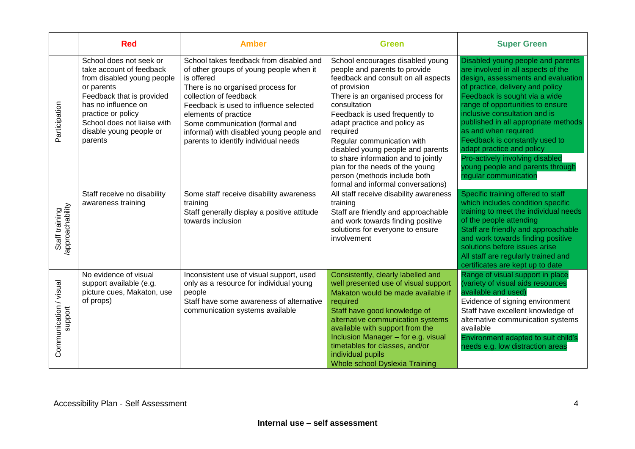|                                    | <b>Red</b>                                                                                                                                                                                                                                     | <b>Amber</b>                                                                                                                                                                                                                                                                                                                                            | <b>Green</b>                                                                                                                                                                                                                                                                                                                                                                                                                                                                   | <b>Super Green</b>                                                                                                                                                                                                                                                                                                                                                                                                                                                                     |
|------------------------------------|------------------------------------------------------------------------------------------------------------------------------------------------------------------------------------------------------------------------------------------------|---------------------------------------------------------------------------------------------------------------------------------------------------------------------------------------------------------------------------------------------------------------------------------------------------------------------------------------------------------|--------------------------------------------------------------------------------------------------------------------------------------------------------------------------------------------------------------------------------------------------------------------------------------------------------------------------------------------------------------------------------------------------------------------------------------------------------------------------------|----------------------------------------------------------------------------------------------------------------------------------------------------------------------------------------------------------------------------------------------------------------------------------------------------------------------------------------------------------------------------------------------------------------------------------------------------------------------------------------|
| Participation                      | School does not seek or<br>take account of feedback<br>from disabled young people<br>or parents<br>Feedback that is provided<br>has no influence on<br>practice or policy<br>School does not liaise with<br>disable young people or<br>parents | School takes feedback from disabled and<br>of other groups of young people when it<br>is offered<br>There is no organised process for<br>collection of feedback<br>Feedback is used to influence selected<br>elements of practice<br>Some communication (formal and<br>informal) with disabled young people and<br>parents to identify individual needs | School encourages disabled young<br>people and parents to provide<br>feedback and consult on all aspects<br>of provision<br>There is an organised process for<br>consultation<br>Feedback is used frequently to<br>adapt practice and policy as<br>required<br>Regular communication with<br>disabled young people and parents<br>to share information and to jointly<br>plan for the needs of the young<br>person (methods include both<br>formal and informal conversations) | Disabled young people and parents<br>are involved in all aspects of the<br>design, assessments and evaluation<br>of practice, delivery and policy<br>Feedback is sought via a wide<br>range of opportunities to ensure<br>inclusive consultation and is<br>published in all appropriate methods<br>as and when required<br>Feedback is constantly used to<br>adapt practice and policy<br>Pro-actively involving disabled<br>young people and parents through<br>regular communication |
| Staff training<br>/approachability | Staff receive no disability<br>awareness training                                                                                                                                                                                              | Some staff receive disability awareness<br>training<br>Staff generally display a positive attitude<br>towards inclusion                                                                                                                                                                                                                                 | All staff receive disability awareness<br>training<br>Staff are friendly and approachable<br>and work towards finding positive<br>solutions for everyone to ensure<br>involvement                                                                                                                                                                                                                                                                                              | Specific training offered to staff<br>which includes condition specific<br>training to meet the individual needs<br>of the people attending<br>Staff are friendly and approachable<br>and work towards finding positive<br>solutions before issues arise<br>All staff are regularly trained and<br>certificates are kept up to date                                                                                                                                                    |
| Communication / visual<br>support  | No evidence of visual<br>support available (e.g.<br>picture cues, Makaton, use<br>of props)                                                                                                                                                    | Inconsistent use of visual support, used<br>only as a resource for individual young<br>people<br>Staff have some awareness of alternative<br>communication systems available                                                                                                                                                                            | Consistently, clearly labelled and<br>well presented use of visual support<br>Makaton would be made available if<br>required<br>Staff have good knowledge of<br>alternative communication systems<br>available with support from the<br>Inclusion Manager - for e.g. visual<br>timetables for classes, and/or<br>individual pupils<br><b>Whole school Dyslexia Training</b>                                                                                                    | Range of visual support in place<br>(variety of visual aids resources<br>available and used)<br>Evidence of signing environment<br>Staff have excellent knowledge of<br>alternative communication systems<br>available<br>Environment adapted to suit child's<br>needs e.g. low distraction areas                                                                                                                                                                                      |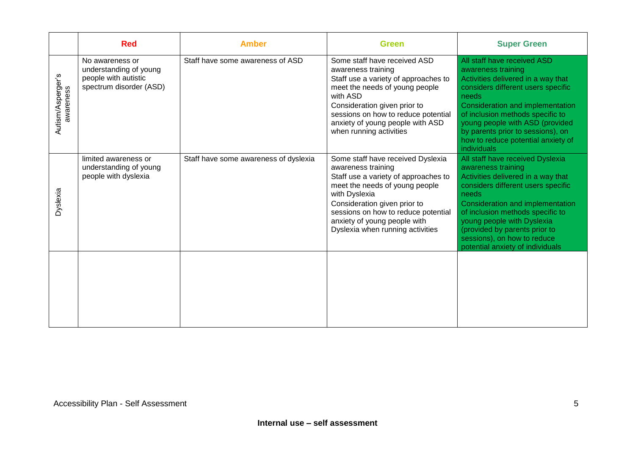|                                | <b>Red</b>                                                                                   | Amber                                 | <b>Green</b>                                                                                                                                                                                                                                                                                  | <b>Super Green</b>                                                                                                                                                                                                                                                                                                                                    |
|--------------------------------|----------------------------------------------------------------------------------------------|---------------------------------------|-----------------------------------------------------------------------------------------------------------------------------------------------------------------------------------------------------------------------------------------------------------------------------------------------|-------------------------------------------------------------------------------------------------------------------------------------------------------------------------------------------------------------------------------------------------------------------------------------------------------------------------------------------------------|
| Autism/Asperger's<br>awareness | No awareness or<br>understanding of young<br>people with autistic<br>spectrum disorder (ASD) | Staff have some awareness of ASD      | Some staff have received ASD<br>awareness training<br>Staff use a variety of approaches to<br>meet the needs of young people<br>with ASD<br>Consideration given prior to<br>sessions on how to reduce potential<br>anxiety of young people with ASD<br>when running activities                | All staff have received ASD<br>awareness training<br>Activities delivered in a way that<br>considers different users specific<br>needs<br>Consideration and implementation<br>of inclusion methods specific to<br>young people with ASD (provided<br>by parents prior to sessions), on<br>how to reduce potential anxiety of<br>individuals           |
| Dyslexia                       | limited awareness or<br>understanding of young<br>people with dyslexia                       | Staff have some awareness of dyslexia | Some staff have received Dyslexia<br>awareness training<br>Staff use a variety of approaches to<br>meet the needs of young people<br>with Dyslexia<br>Consideration given prior to<br>sessions on how to reduce potential<br>anxiety of young people with<br>Dyslexia when running activities | All staff have received Dyslexia<br>awareness training<br>Activities delivered in a way that<br>considers different users specific<br>needs<br>Consideration and implementation<br>of inclusion methods specific to<br>young people with Dyslexia<br>(provided by parents prior to<br>sessions), on how to reduce<br>potential anxiety of individuals |
|                                |                                                                                              |                                       |                                                                                                                                                                                                                                                                                               |                                                                                                                                                                                                                                                                                                                                                       |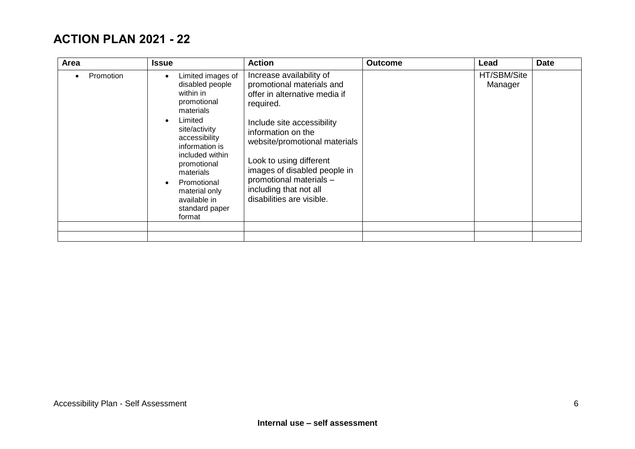### **ACTION PLAN 2021 - 22**

| Area      | <b>Issue</b>                                                                                                                                                                                                                                                            | <b>Action</b>                                                                                                                                                                                                                                                                                                                         | <b>Outcome</b> | Lead                   | <b>Date</b> |
|-----------|-------------------------------------------------------------------------------------------------------------------------------------------------------------------------------------------------------------------------------------------------------------------------|---------------------------------------------------------------------------------------------------------------------------------------------------------------------------------------------------------------------------------------------------------------------------------------------------------------------------------------|----------------|------------------------|-------------|
| Promotion | Limited images of<br>disabled people<br>within in<br>promotional<br>materials<br>Limited<br>site/activity<br>accessibility<br>information is<br>included within<br>promotional<br>materials<br>Promotional<br>material only<br>available in<br>standard paper<br>format | Increase availability of<br>promotional materials and<br>offer in alternative media if<br>required.<br>Include site accessibility<br>information on the<br>website/promotional materials<br>Look to using different<br>images of disabled people in<br>promotional materials -<br>including that not all<br>disabilities are visible. |                | HT/SBM/Site<br>Manager |             |
|           |                                                                                                                                                                                                                                                                         |                                                                                                                                                                                                                                                                                                                                       |                |                        |             |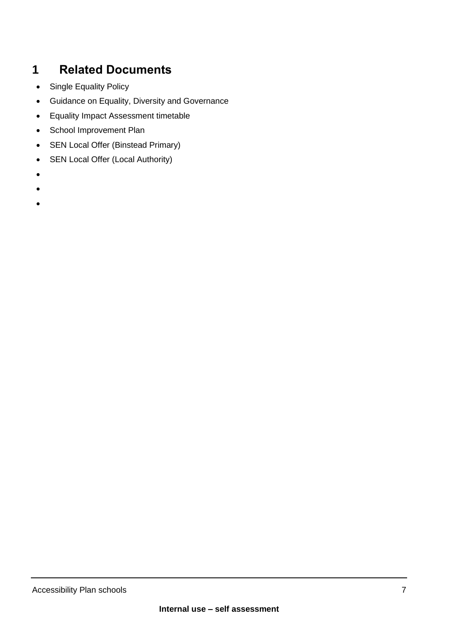## **1 Related Documents**

- Single Equality Policy
- Guidance on Equality, Diversity and Governance
- Equality Impact Assessment timetable
- School Improvement Plan
- SEN Local Offer (Binstead Primary)
- SEN Local Offer (Local Authority)
- •
- •
- •